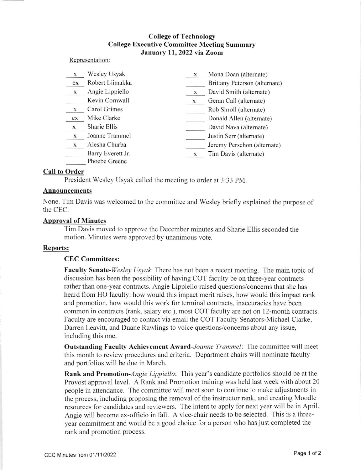# College of Technology College Executive Committee Meeting Summary January 11,2022 via Zoom

#### Representation

| $\mathbf x$ | Wesley Usyak                       | X | Mona Doan (alternate)         |
|-------------|------------------------------------|---|-------------------------------|
| ex          | Robert Liimakka                    |   | Brittany Peterson (alternate) |
| $\mathbf X$ | Angie Lippiello                    | X | David Smith (alternate)       |
|             | Kevin Cornwall                     | X | Geran Call (alternate)        |
| X           | Carol Grimes                       |   | Rob Shroll (alternate)        |
| ex          | Mike Clarke                        |   | Donald Allen (alternate)      |
| X           | Sharie Ellis                       |   | David Nava (alternate)        |
| $\mathbf X$ | Joanne Trammel                     |   | Justin Serr (alternate)       |
| $\mathbf X$ | Alesha Churba                      |   | Jeremy Perschon (alternate)   |
|             | Barry Everett Jr.<br>Phoebe Greene | X | Tim Davis (alternate)         |

### Call to Order

President Wesley Usyak called the meeting to order at 3:33 PM.

### Announcements

None. Tim Davis was welcomed to the committee and Wesley briefly explained the purpose of the CEC.

### Aporeval of Minutes

Tim Davis moved to approve the December minutes and Sharie Ellis seconded the motion. Minutes were approved by unanimous vote.

## Reports:

## CEC Committees:

**Faculty Senate-**Wesley Usyak: There has not been a recent meeting. The main topic of discussion has been the possibility of having COT faculty be on three-year contracts rather than one-year contracts. Angie Lippietlo raised questions/concerns that she has heard from HO faculty: how would this impact merit raises, how would this impact rank and promotion. how would this work for terminal contracts. inaccuracies have been common in contracts (rank. salary etc.), most COT faculty are not on l2-month contracts. Faculty are encouraged to contact via email the COT Faculty Senators-Michael Clarke, Darren Leavitt, and Duane Rawlings to voice questions/concems about any issue, including this one.

Outstanding Faculty Achievement Award-Joanne Trammel: The committee will meet this month to review procedures and criteria. Department chairs will nominate faculty and portfolios will be due in March.

**Rank and Promotion-***Angie Lippiello*: This year's candidate portfolios should be at the Provost approval level. A Rank and Promotion training was held last week with about 20 people in attendance. The committee will meet soon to continue to make adjustments in the process, including proposing the removal of the instructor rank, and creating Moodle resources for candidates and reviewers. The intent to apply for next year will be in April. Angie will become ex-officio in fall. A vice-chair needs to be selected. This is a threeyear commitment and would be a good choice for a person who has just completed the rank and promotion process.